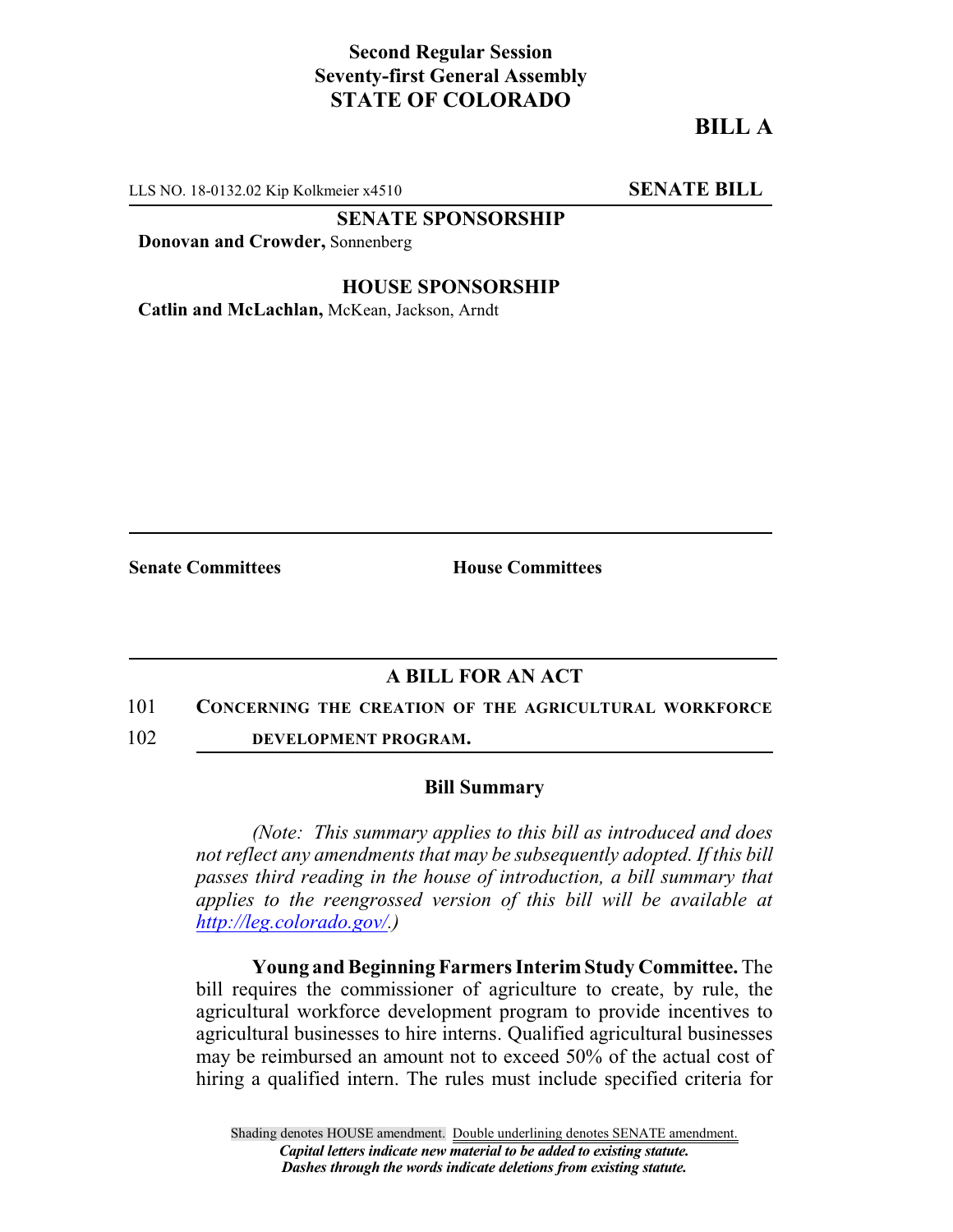## **Second Regular Session Seventy-first General Assembly STATE OF COLORADO**

# **BILL A**

LLS NO. 18-0132.02 Kip Kolkmeier x4510 **SENATE BILL** 

**SENATE SPONSORSHIP**

**Donovan and Crowder,** Sonnenberg

#### **HOUSE SPONSORSHIP**

**Catlin and McLachlan,** McKean, Jackson, Arndt

**Senate Committees House Committees** 

### **A BILL FOR AN ACT**

#### 101 **CONCERNING THE CREATION OF THE AGRICULTURAL WORKFORCE**

102 **DEVELOPMENT PROGRAM.**

#### **Bill Summary**

*(Note: This summary applies to this bill as introduced and does not reflect any amendments that may be subsequently adopted. If this bill passes third reading in the house of introduction, a bill summary that applies to the reengrossed version of this bill will be available at <http://leg.colorado.gov/>.)*

**Young and Beginning Farmers Interim Study Committee.** The bill requires the commissioner of agriculture to create, by rule, the agricultural workforce development program to provide incentives to agricultural businesses to hire interns. Qualified agricultural businesses may be reimbursed an amount not to exceed 50% of the actual cost of hiring a qualified intern. The rules must include specified criteria for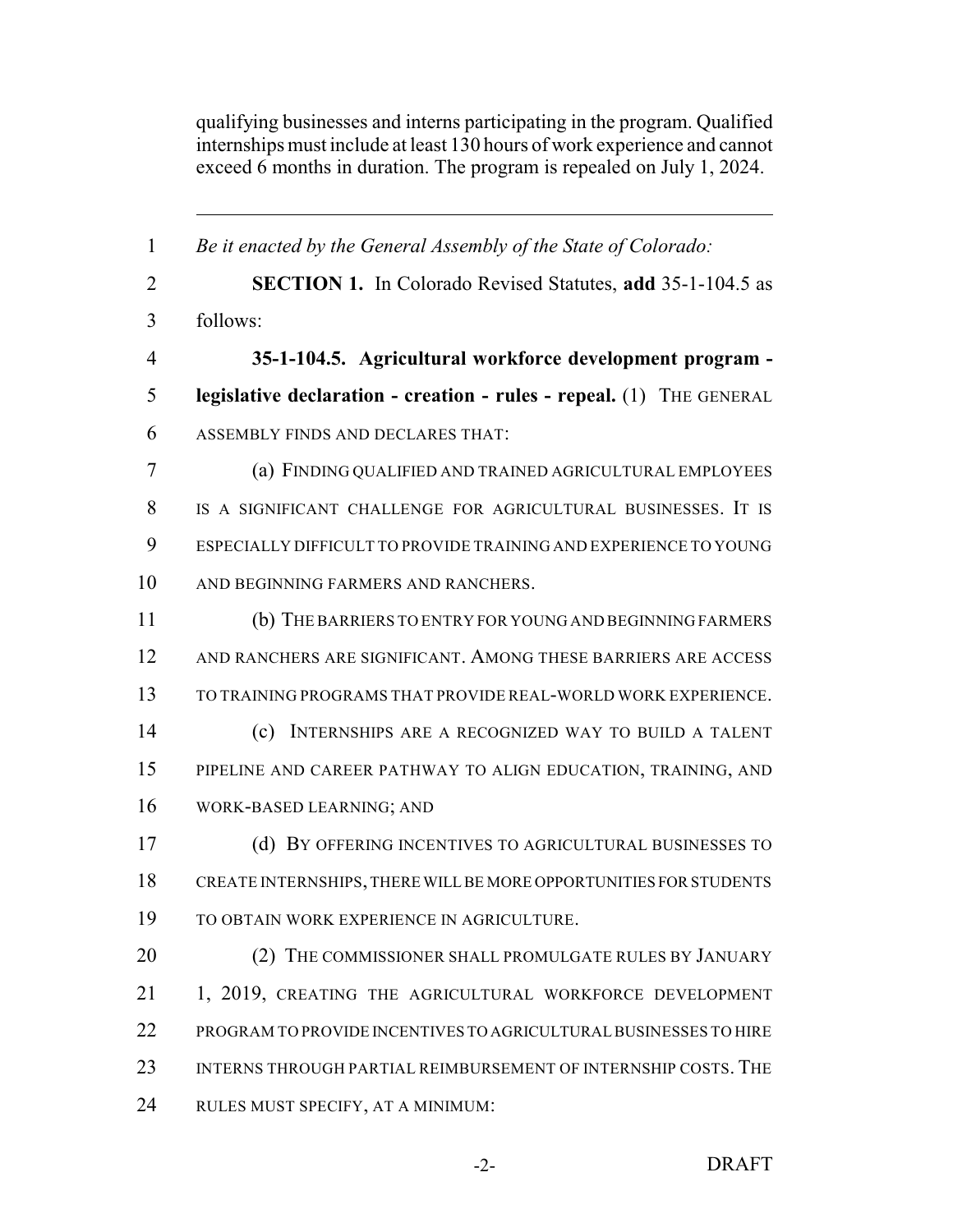qualifying businesses and interns participating in the program. Qualified internships must include at least 130 hours of work experience and cannot exceed 6 months in duration. The program is repealed on July 1, 2024.

 *Be it enacted by the General Assembly of the State of Colorado:* **SECTION 1.** In Colorado Revised Statutes, **add** 35-1-104.5 as follows: **35-1-104.5. Agricultural workforce development program - legislative declaration - creation - rules - repeal.** (1) THE GENERAL ASSEMBLY FINDS AND DECLARES THAT: (a) FINDING QUALIFIED AND TRAINED AGRICULTURAL EMPLOYEES IS A SIGNIFICANT CHALLENGE FOR AGRICULTURAL BUSINESSES. IT IS ESPECIALLY DIFFICULT TO PROVIDE TRAINING AND EXPERIENCE TO YOUNG AND BEGINNING FARMERS AND RANCHERS. (b) THEBARRIERS TO ENTRY FOR YOUNG AND BEGINNING FARMERS AND RANCHERS ARE SIGNIFICANT. AMONG THESE BARRIERS ARE ACCESS TO TRAINING PROGRAMS THAT PROVIDE REAL-WORLD WORK EXPERIENCE. (c) INTERNSHIPS ARE A RECOGNIZED WAY TO BUILD A TALENT PIPELINE AND CAREER PATHWAY TO ALIGN EDUCATION, TRAINING, AND WORK-BASED LEARNING; AND (d) BY OFFERING INCENTIVES TO AGRICULTURAL BUSINESSES TO CREATE INTERNSHIPS, THERE WILLBE MORE OPPORTUNITIES FORSTUDENTS TO OBTAIN WORK EXPERIENCE IN AGRICULTURE. 20 (2) THE COMMISSIONER SHALL PROMULGATE RULES BY JANUARY 1, 2019, CREATING THE AGRICULTURAL WORKFORCE DEVELOPMENT PROGRAM TO PROVIDE INCENTIVES TO AGRICULTURALBUSINESSES TO HIRE 23 INTERNS THROUGH PARTIAL REIMBURSEMENT OF INTERNSHIP COSTS. THE RULES MUST SPECIFY, AT A MINIMUM: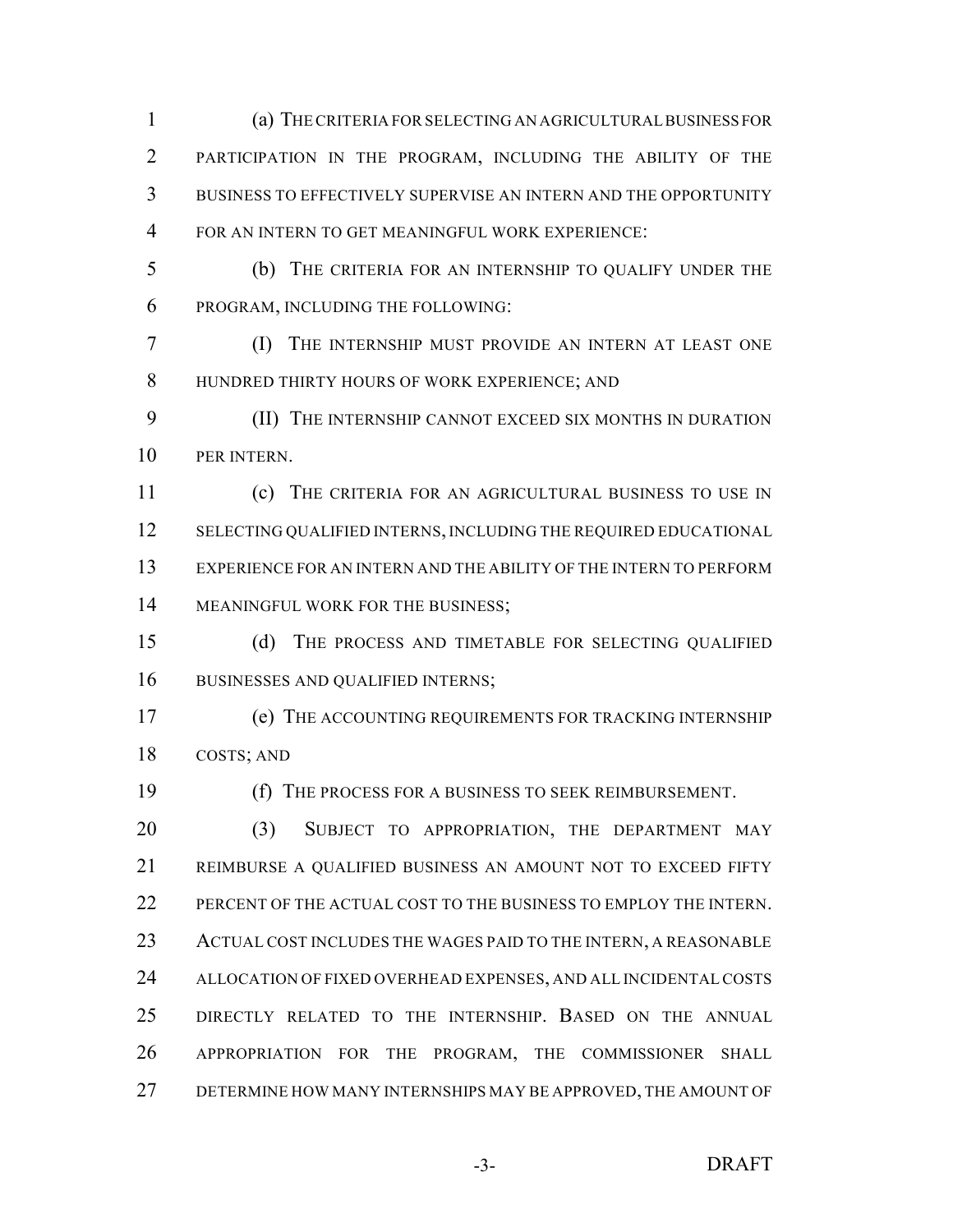(a) THECRITERIA FORSELECTING AN AGRICULTURALBUSINESS FOR PARTICIPATION IN THE PROGRAM, INCLUDING THE ABILITY OF THE BUSINESS TO EFFECTIVELY SUPERVISE AN INTERN AND THE OPPORTUNITY FOR AN INTERN TO GET MEANINGFUL WORK EXPERIENCE:

 (b) THE CRITERIA FOR AN INTERNSHIP TO QUALIFY UNDER THE PROGRAM, INCLUDING THE FOLLOWING:

 (I) THE INTERNSHIP MUST PROVIDE AN INTERN AT LEAST ONE HUNDRED THIRTY HOURS OF WORK EXPERIENCE; AND

 (II) THE INTERNSHIP CANNOT EXCEED SIX MONTHS IN DURATION PER INTERN.

 (c) THE CRITERIA FOR AN AGRICULTURAL BUSINESS TO USE IN 12 SELECTING QUALIFIED INTERNS, INCLUDING THE REQUIRED EDUCATIONAL EXPERIENCE FOR AN INTERN AND THE ABILITY OF THE INTERN TO PERFORM 14 MEANINGFUL WORK FOR THE BUSINESS;

 (d) THE PROCESS AND TIMETABLE FOR SELECTING QUALIFIED 16 BUSINESSES AND QUALIFIED INTERNS;

 (e) THE ACCOUNTING REQUIREMENTS FOR TRACKING INTERNSHIP COSTS; AND

(f) THE PROCESS FOR A BUSINESS TO SEEK REIMBURSEMENT.

20 (3) SUBJECT TO APPROPRIATION, THE DEPARTMENT MAY REIMBURSE A QUALIFIED BUSINESS AN AMOUNT NOT TO EXCEED FIFTY 22 PERCENT OF THE ACTUAL COST TO THE BUSINESS TO EMPLOY THE INTERN. 23 ACTUAL COST INCLUDES THE WAGES PAID TO THE INTERN, A REASONABLE ALLOCATION OF FIXED OVERHEAD EXPENSES, AND ALL INCIDENTAL COSTS DIRECTLY RELATED TO THE INTERNSHIP. BASED ON THE ANNUAL APPROPRIATION FOR THE PROGRAM, THE COMMISSIONER SHALL DETERMINE HOW MANY INTERNSHIPS MAY BE APPROVED, THE AMOUNT OF